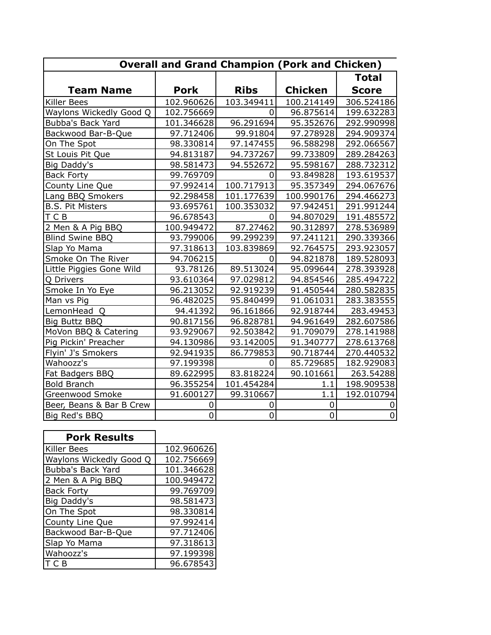|                          |                | <b>Overall and Grand Champion (Pork and Chicken)</b> |                |                |
|--------------------------|----------------|------------------------------------------------------|----------------|----------------|
|                          |                |                                                      |                | <b>Total</b>   |
| <b>Team Name</b>         | <b>Pork</b>    | <b>Ribs</b>                                          | <b>Chicken</b> | <b>Score</b>   |
| <b>Killer Bees</b>       | 102.960626     | 103.349411                                           | 100.214149     | 306.524186     |
| Waylons Wickedly Good Q  | 102.756669     | n                                                    | 96.875614      | 199.632283     |
| Bubba's Back Yard        | 101.346628     | 96.291694                                            | 95.352676      | 292.990998     |
| Backwood Bar-B-Que       | 97.712406      | 99.91804                                             | 97.278928      | 294.909374     |
| On The Spot              | 98.330814      | 97.147455                                            | 96.588298      | 292.066567     |
| St Louis Pit Que         | 94.813187      | 94.737267                                            | 99.733809      | 289.284263     |
| Big Daddy's              | 98.581473      | 94.552672                                            | 95.598167      | 288.732312     |
| <b>Back Forty</b>        | 99.769709      | 0                                                    | 93.849828      | 193.619537     |
| County Line Que          | 97.992414      | 100.717913                                           | 95.357349      | 294.067676     |
| Lang BBQ Smokers         | 92.298458      | 101.177639                                           | 100.990176     | 294.466273     |
| <b>B.S. Pit Misters</b>  | 93.695761      | 100.353032                                           | 97.942451      | 291.991244     |
| T C B                    | 96.678543      | 0                                                    | 94.807029      | 191.485572     |
| 2 Men & A Pig BBQ        | 100.949472     | 87.27462                                             | 90.312897      | 278.536989     |
| <b>Blind Swine BBQ</b>   | 93.799006      | 99.299239                                            | 97.241121      | 290.339366     |
| Slap Yo Mama             | 97.318613      | 103.839869                                           | 92.764575      | 293.923057     |
| Smoke On The River       | 94.706215      | n                                                    | 94.821878      | 189.528093     |
| Little Piggies Gone Wild | 93.78126       | 89.513024                                            | 95.099644      | 278.393928     |
| Q Drivers                | 93.610364      | 97.029812                                            | 94.854546      | 285.494722     |
| Smoke In Yo Eye          | 96.213052      | 92.919239                                            | 91.450544      | 280.582835     |
| Man vs Pig               | 96.482025      | 95.840499                                            | 91.061031      | 283.383555     |
| LemonHead Q              | 94.41392       | 96.161866                                            | 92.918744      | 283.49453      |
| Big Buttz BBQ            | 90.817156      | 96.828781                                            | 94.961649      | 282.607586     |
| MoVon BBQ & Catering     | 93.929067      | 92.503842                                            | 91.709079      | 278.141988     |
| Pig Pickin' Preacher     | 94.130986      | 93.142005                                            | 91.340777      | 278.613768     |
| Flyin' J's Smokers       | 92.941935      | 86.779853                                            | 90.718744      | 270.440532     |
| Wahoozz's                | 97.199398      | O                                                    | 85.729685      | 182.929083     |
| Fat Badgers BBQ          | 89.622995      | 83.818224                                            | 90.101661      | 263.54288      |
| <b>Bold Branch</b>       | 96.355254      | 101.454284                                           | 1.1            | 198.909538     |
| Greenwood Smoke          | 91.600127      | 99.310667                                            | 1.1            | 192.010794     |
| Beer, Beans & Bar B Crew | 0              | 0                                                    | 0              | 0              |
| Big Red's BBQ            | $\overline{0}$ | 0                                                    | $\overline{0}$ | $\overline{0}$ |

| <b>Pork Results</b>      |            |
|--------------------------|------------|
| <b>Killer Bees</b>       | 102.960626 |
| Waylons Wickedly Good Q  | 102.756669 |
| <b>Bubba's Back Yard</b> | 101.346628 |
| 2 Men & A Pig BBQ        | 100.949472 |
| <b>Back Forty</b>        | 99.769709  |
| Big Daddy's              | 98.581473  |
| On The Spot              | 98.330814  |
| County Line Que          | 97.992414  |
| Backwood Bar-B-Que       | 97.712406  |
| Slap Yo Mama             | 97.318613  |
| Wahoozz's                | 97.199398  |
| C                        | 96.678543  |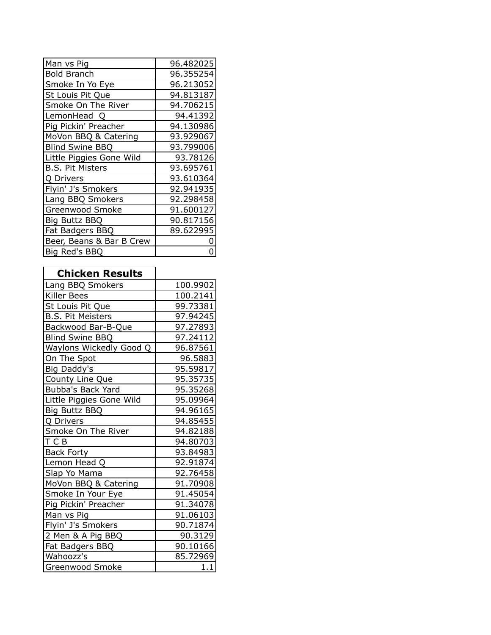| Man vs Pig               | 96.482025 |
|--------------------------|-----------|
| <b>Bold Branch</b>       | 96.355254 |
| Smoke In Yo Eye          | 96.213052 |
| St Louis Pit Que         | 94.813187 |
| Smoke On The River       | 94.706215 |
| LemonHead Q              | 94.41392  |
| Pig Pickin' Preacher     | 94.130986 |
| MoVon BBQ & Catering     | 93.929067 |
| <b>Blind Swine BBO</b>   | 93.799006 |
| Little Piggies Gone Wild | 93.78126  |
| <b>B.S. Pit Misters</b>  | 93.695761 |
| Q Drivers                | 93.610364 |
| Flyin' J's Smokers       | 92.941935 |
| Lang BBQ Smokers         | 92.298458 |
| Greenwood Smoke          | 91.600127 |
| Big Buttz BBQ            | 90.817156 |
| Fat Badgers BBQ          | 89.622995 |
| Beer, Beans & Bar B Crew |           |
| Big Red's BBQ            |           |

| <b>Chicken Results</b>   |          |
|--------------------------|----------|
| Lang BBQ Smokers         | 100.9902 |
| Killer Bees              | 100.2141 |
| St Louis Pit Que         | 99.73381 |
| B.S. Pit Meisters        | 97.94245 |
| Backwood Bar-B-Que       | 97.27893 |
| Blind Swine BBQ          | 97.24112 |
| Waylons Wickedly Good Q  | 96.87561 |
| On The Spot              | 96.5883  |
| Big Daddy's              | 95.59817 |
| County Line Que          | 95.35735 |
| Bubba's Back Yard        | 95.35268 |
| Little Piggies Gone Wild | 95.09964 |
| Big Buttz BBQ            | 94.96165 |
| Q Drivers                | 94.85455 |
| Smoke On The River       | 94.82188 |
| TCB                      | 94.80703 |
| <b>Back Forty</b>        | 93.84983 |
| Lemon Head Q             | 92.91874 |
| Slap Yo Mama             | 92.76458 |
| MoVon BBQ & Catering     | 91.70908 |
| Smoke In Your Eye        | 91.45054 |
| Pig Pickin' Preacher     | 91.34078 |
| Man vs Pig               | 91.06103 |
| Flyin' J's Smokers       | 90.71874 |
| 2 Men & A Pig BBQ        | 90.3129  |
| Fat Badgers BBQ          | 90.10166 |
| Wahoozz's                | 85.72969 |
| Greenwood Smoke          | 1.1      |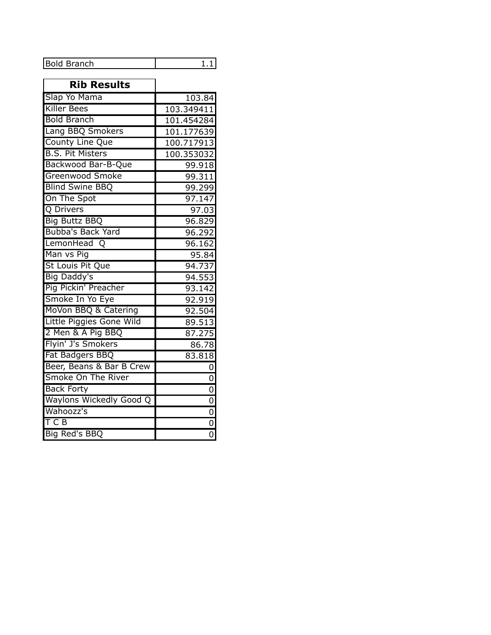| ΙE<br><b>Branch</b> |
|---------------------|
|---------------------|

| <b>Rib Results</b>       |                    |
|--------------------------|--------------------|
| Slap Yo Mama             | 103.84             |
| <b>Killer Bees</b>       | 103.349411         |
| <b>Bold Branch</b>       | 101.454284         |
| Lang BBQ Smokers         | 101.177639         |
| County Line Que          | 100.717913         |
| <b>B.S. Pit Misters</b>  | 100.353032         |
| Backwood Bar-B-Que       | 99.918             |
| Greenwood Smoke          | 99.311             |
| <b>Blind Swine BBQ</b>   | 99.299             |
| On The Spot              | 97.147             |
| Q Drivers                | 97.03              |
| <b>Big Buttz BBQ</b>     | 96.829             |
| Bubba's Back Yard        | $\frac{1}{96.292}$ |
| LemonHead <sub>Q</sub>   | 96.162             |
| Man vs Pig               | 95.84              |
| St Louis Pit Que         | 94.737             |
| <b>Big Daddy's</b>       | 94.553             |
| Pig Pickin' Preacher     | 93.142             |
| Smoke In Yo Eye          | 92.919             |
| MoVon BBQ & Catering     | 92.504             |
| Little Piggies Gone Wild | 89.513             |
| 2 Men & A Pig BBQ        | 87.275             |
| Flyin' J's Smokers       | 86.78              |
| Fat Badgers BBQ          | 83.818             |
| Beer, Beans & Bar B Crew | 0                  |
| Smoke On The River       | 0                  |
| <b>Back Forty</b>        | 0                  |
| Waylons Wickedly Good Q  | 0                  |
| Wahoozz's                | 0                  |
| TCB                      | 0                  |
| Big Red's BBQ            | 0                  |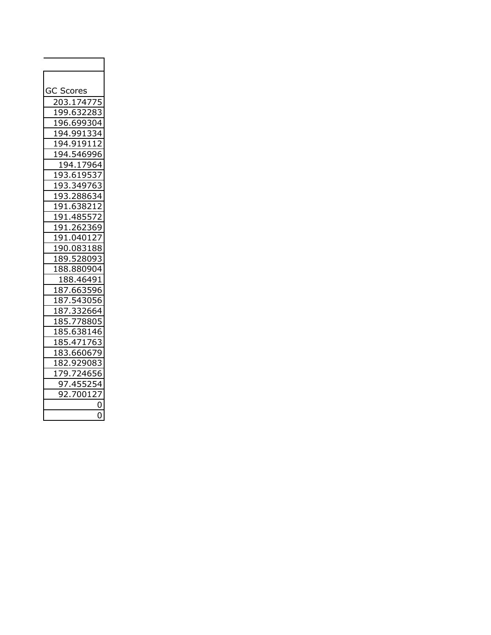| GC Scores                         |
|-----------------------------------|
| 203.17                            |
| 199.632<br>2283                   |
| 96.699304<br>19                   |
| ,<br>94.9913<br>19                |
| $\overline{94.9191}$<br>19        |
| 94.546<br>1<br>c                  |
| 79<br>19<br>94.1.<br>964          |
| 193.619537                        |
| 193.3<br>49                       |
| 3.2886<br>19                      |
| 91<br>.638<br>$\mathbf$<br>1<br>ı |
| 91.48<br>5!<br>19<br>31           |
| 91<br>.262<br>1<br>2<br>59        |
| 91.0401<br>1                      |
| 190.083<br>ξ<br>38                |
| .52<br>189<br>۶                   |
| 188.880                           |
| 188.46<br>$\mathbf \zeta$         |
| 187.663<br>96<br>۶F               |
| 54305<br>187                      |
| 33266<br>187<br>J,                |
| 18<br>778<br>35<br>šξ<br>ر.       |
| 18<br>35.638<br>31                |
| 35<br>18<br>763                   |
| 18<br>33<br>.6                    |
| 18<br>$\overline{2}$<br>٩.        |
| $\overline{1}$<br>70<br>ŗ         |
| <u>(</u><br>4!                    |
| 700<br>٥<br>)<br>)15              |
|                                   |
|                                   |